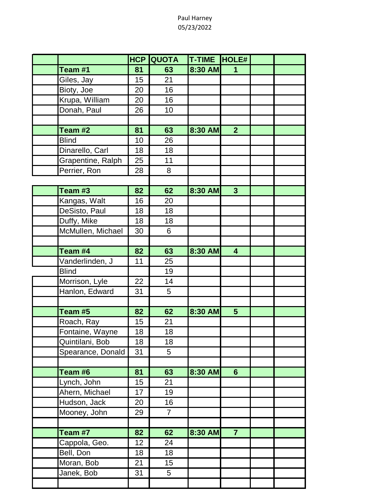## Paul Harney 05/23/2022

|                   | <b>HCP QUOTA</b> |                | T-TIME HOLE# |                         |  |
|-------------------|------------------|----------------|--------------|-------------------------|--|
| Team #1           | 81               | 63             | 8:30 AM      | 1                       |  |
| Giles, Jay        | 15               | 21             |              |                         |  |
| Bioty, Joe        | 20               | 16             |              |                         |  |
| Krupa, William    | 20               | 16             |              |                         |  |
| Donah, Paul       | 26               | 10             |              |                         |  |
|                   |                  |                |              |                         |  |
| Team #2           | 81               | 63             | 8:30 AM      | 2 <sup>1</sup>          |  |
| <b>Blind</b>      | 10               | 26             |              |                         |  |
| Dinarello, Carl   | 18               | 18             |              |                         |  |
| Grapentine, Ralph | 25               | 11             |              |                         |  |
| Perrier, Ron      | 28               | 8              |              |                         |  |
|                   |                  |                |              |                         |  |
| Team #3           | 82               | 62             | 8:30 AM      | $\mathbf{3}$            |  |
| Kangas, Walt      | 16               | 20             |              |                         |  |
| DeSisto, Paul     | 18               | 18             |              |                         |  |
| Duffy, Mike       | 18               | 18             |              |                         |  |
| McMullen, Michael | 30               | 6              |              |                         |  |
|                   |                  |                |              |                         |  |
| Team #4           | 82               | 63             | 8:30 AM      | $\overline{\mathbf{4}}$ |  |
| Vanderlinden, J   | 11               | 25             |              |                         |  |
| <b>Blind</b>      |                  | 19             |              |                         |  |
| Morrison, Lyle    | 22               | 14             |              |                         |  |
| Hanlon, Edward    | 31               | 5              |              |                         |  |
|                   |                  |                |              |                         |  |
| Team #5           | 82               | 62             | 8:30 AM      | 5 <sup>5</sup>          |  |
| Roach, Ray        | 15               | 21             |              |                         |  |
| Fontaine, Wayne   | 18               | 18             |              |                         |  |
| Quintilani, Bob   | 18               | 18             |              |                         |  |
| Spearance, Donald | 31               | 5              |              |                         |  |
|                   |                  |                |              |                         |  |
| Team #6           | 81               | 63             | 8:30 AM      | $6 \overline{6}$        |  |
| Lynch, John       | 15               | 21             |              |                         |  |
| Ahern, Michael    | 17               | 19             |              |                         |  |
| Hudson, Jack      | 20               | 16             |              |                         |  |
| Mooney, John      | 29               | $\overline{7}$ |              |                         |  |
|                   |                  |                |              |                         |  |
| Team #7           | 82               | 62             | 8:30 AM      | $\overline{7}$          |  |
| Cappola, Geo.     | 12               | 24             |              |                         |  |
| Bell, Don         | 18               | 18             |              |                         |  |
| Moran, Bob        | 21               | 15             |              |                         |  |
| Janek, Bob        | 31               | 5              |              |                         |  |
|                   |                  |                |              |                         |  |